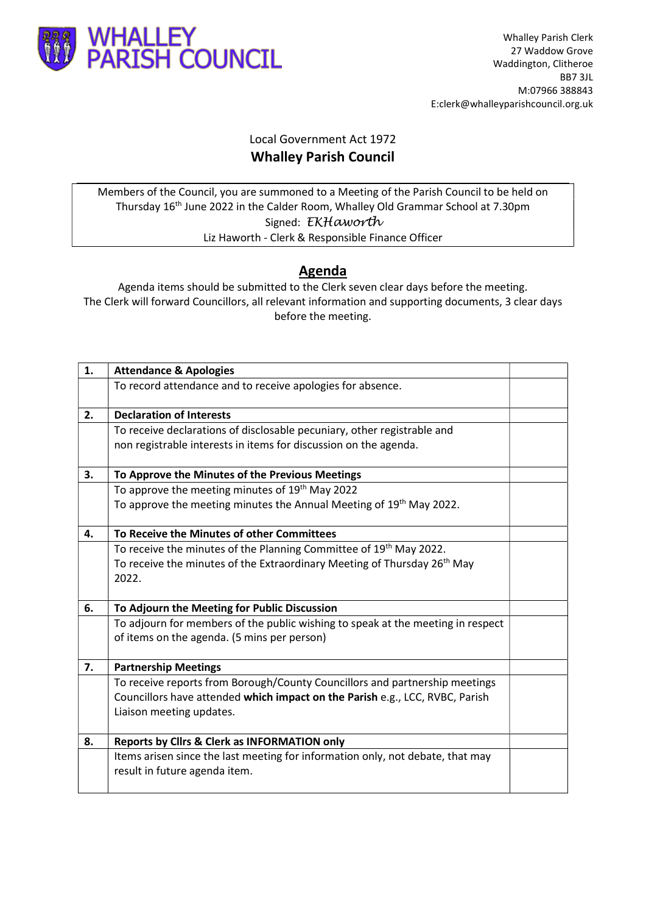

## Local Government Act 1972 Whalley Parish Council

Members of the Council, you are summoned to a Meeting of the Parish Council to be held on Thursday 16th June 2022 in the Calder Room, Whalley Old Grammar School at 7.30pm Signed: EKHaworth Liz Haworth - Clerk & Responsible Finance Officer

## Agenda

Agenda items should be submitted to the Clerk seven clear days before the meeting. The Clerk will forward Councillors, all relevant information and supporting documents, 3 clear days before the meeting.

| 1. | <b>Attendance &amp; Apologies</b>                                                                                              |  |
|----|--------------------------------------------------------------------------------------------------------------------------------|--|
|    | To record attendance and to receive apologies for absence.                                                                     |  |
| 2. | <b>Declaration of Interests</b>                                                                                                |  |
|    | To receive declarations of disclosable pecuniary, other registrable and                                                        |  |
|    | non registrable interests in items for discussion on the agenda.                                                               |  |
| 3. | To Approve the Minutes of the Previous Meetings                                                                                |  |
|    | To approve the meeting minutes of 19 <sup>th</sup> May 2022                                                                    |  |
|    | To approve the meeting minutes the Annual Meeting of 19 <sup>th</sup> May 2022.                                                |  |
| 4. | To Receive the Minutes of other Committees                                                                                     |  |
|    | To receive the minutes of the Planning Committee of 19 <sup>th</sup> May 2022.                                                 |  |
|    | To receive the minutes of the Extraordinary Meeting of Thursday 26 <sup>th</sup> May<br>2022.                                  |  |
| 6. | To Adjourn the Meeting for Public Discussion                                                                                   |  |
|    | To adjourn for members of the public wishing to speak at the meeting in respect<br>of items on the agenda. (5 mins per person) |  |
| 7. | <b>Partnership Meetings</b>                                                                                                    |  |
|    | To receive reports from Borough/County Councillors and partnership meetings                                                    |  |
|    | Councillors have attended which impact on the Parish e.g., LCC, RVBC, Parish                                                   |  |
|    | Liaison meeting updates.                                                                                                       |  |
| 8. | <b>Reports by Clirs &amp; Clerk as INFORMATION only</b>                                                                        |  |
|    | Items arisen since the last meeting for information only, not debate, that may<br>result in future agenda item.                |  |